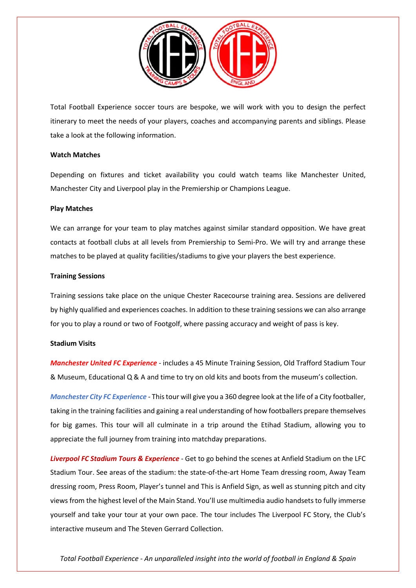

Total Football Experience soccer tours are bespoke, we will work with you to design the perfect itinerary to meet the needs of your players, coaches and accompanying parents and siblings. Please take a look at the following information.

# **Watch Matches**

Depending on fixtures and ticket availability you could watch teams like Manchester United, Manchester City and Liverpool play in the Premiership or Champions League.

## **Play Matches**

We can arrange for your team to play matches against similar standard opposition. We have great contacts at football clubs at all levels from Premiership to Semi-Pro. We will try and arrange these matches to be played at quality facilities/stadiums to give your players the best experience.

## **Training Sessions**

Training sessions take place on the unique Chester Racecourse training area. Sessions are delivered by highly qualified and experiences coaches. In addition to these training sessions we can also arrange for you to play a round or two of Footgolf, where passing accuracy and weight of pass is key.

#### **Stadium Visits**

*Manchester United FC Experience* - includes a 45 Minute Training Session, Old Trafford Stadium Tour & Museum, Educational Q & A and time to try on old kits and boots from the museum's collection.

*Manchester City FC Experience* - This tour will give you a 360 degree look at the life of a City footballer, taking in the training facilities and gaining a real understanding of how footballers prepare themselves for big games. This tour will all culminate in a trip around the Etihad Stadium, allowing you to appreciate the full journey from training into matchday preparations.

*Liverpool FC Stadium Tours & Experience* - Get to go behind the scenes at Anfield Stadium on the LFC Stadium Tour. See areas of the stadium: the state-of-the-art Home Team dressing room, Away Team dressing room, Press Room, Player's tunnel and This is Anfield Sign, as well as stunning pitch and city views from the highest level of the Main Stand. You'll use multimedia audio handsets to fully immerse yourself and take your tour at your own pace. The tour includes The Liverpool FC Story, the Club's interactive museum and The Steven Gerrard Collection.

*Total Football Experience - An unparalleled insight into the world of football in England & Spain*